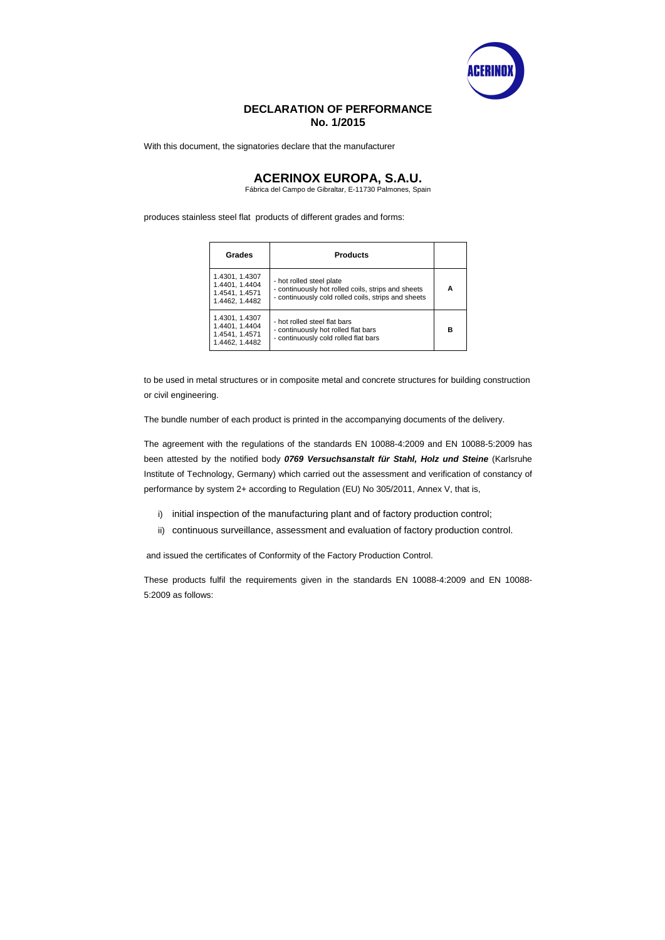

## **DECLARATION OF PERFORMANCE No. 1/2015**

With this document, the signatories declare that the manufacturer

## **ACERINOX EUROPA, S.A.U.**

Fábrica del Campo de Gibraltar, E-11730 Palmones, Spain

produces stainless steel flat products of different grades and forms:

| Grades                                                               | <b>Products</b>                                                                                                                       |   |
|----------------------------------------------------------------------|---------------------------------------------------------------------------------------------------------------------------------------|---|
| 1.4301, 1.4307<br>1.4401, 1.4404<br>1.4541, 1.4571<br>1.4462, 1.4482 | - hot rolled steel plate<br>- continuously hot rolled coils, strips and sheets<br>- continuously cold rolled coils, strips and sheets | А |
| 1.4301, 1.4307<br>1.4401, 1.4404<br>1.4541, 1.4571<br>1.4462, 1.4482 | - hot rolled steel flat bars<br>- continuously hot rolled flat bars<br>- continuously cold rolled flat bars                           | в |

- i) initial inspection of the manufacturing plant and of factory production control;
- ii) continuous surveillance, assessment and evaluation of factory production control.

to be used in metal structures or in composite metal and concrete structures for building construction or civil engineering.

The bundle number of each product is printed in the accompanying documents of the delivery.

The agreement with the regulations of the standards EN 10088-4:2009 and EN 10088-5:2009 has been attested by the notified body **0769 Versuchsanstalt für Stahl, Holz und Steine** (Karlsruhe Institute of Technology, Germany) which carried out the assessment and verification of constancy of performance by system 2+ according to Regulation (EU) No 305/2011, Annex V, that is,

and issued the certificates of Conformity of the Factory Production Control.

These products fulfil the requirements given in the standards EN 10088-4:2009 and EN 10088- 5:2009 as follows: